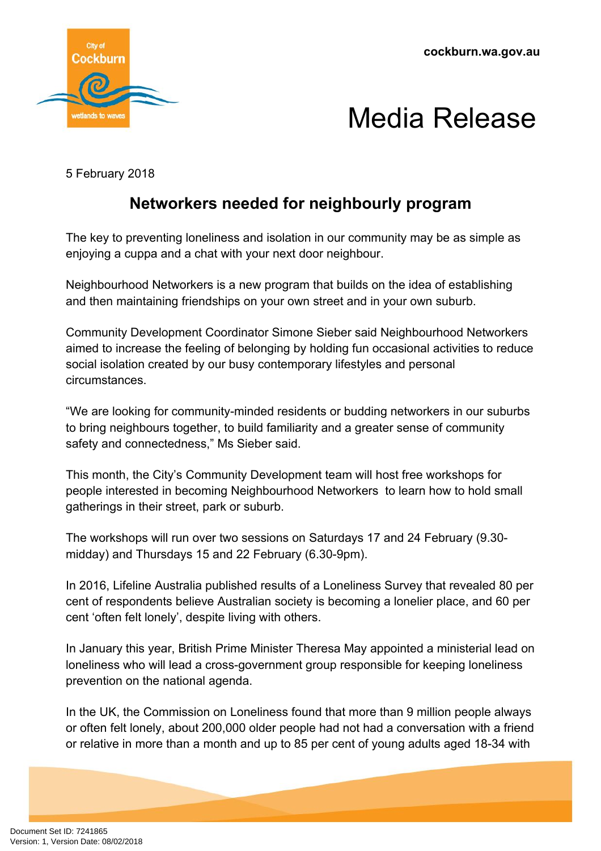



5 February 2018

## **Networkers needed for neighbourly program**

The key to preventing loneliness and isolation in our community may be as simple as enjoying a cuppa and a chat with your next door neighbour.

Neighbourhood Networkers is a new program that builds on the idea of establishing and then maintaining friendships on your own street and in your own suburb.

Community Development Coordinator Simone Sieber said Neighbourhood Networkers aimed to increase the feeling of belonging by holding fun occasional activities to reduce social isolation created by our busy contemporary lifestyles and personal circumstances.

"We are looking for community-minded residents or budding networkers in our suburbs to bring neighbours together, to build familiarity and a greater sense of community safety and connectedness," Ms Sieber said.

This month, the City's Community Development team will host free workshops for people interested in becoming Neighbourhood Networkers to learn how to hold small gatherings in their street, park or suburb.

The workshops will run over two sessions on Saturdays 17 and 24 February (9.30 midday) and Thursdays 15 and 22 February (6.30-9pm).

In 2016, Lifeline Australia published results of a Loneliness Survey that revealed 80 per cent of respondents believe Australian society is becoming a lonelier place, and 60 per cent 'often felt lonely', despite living with others.

In January this year, British Prime Minister Theresa May appointed a ministerial lead on loneliness who will lead a cross-government group responsible for keeping loneliness prevention on the national agenda.

In the UK, the Commission on Loneliness found that more than 9 million people always or often felt lonely, about 200,000 older people had not had a conversation with a friend or relative in more than a month and up to 85 per cent of young adults aged 18-34 with

Document Set ID: 7241865<br>Version: 1, Version Date: 08/02/2018